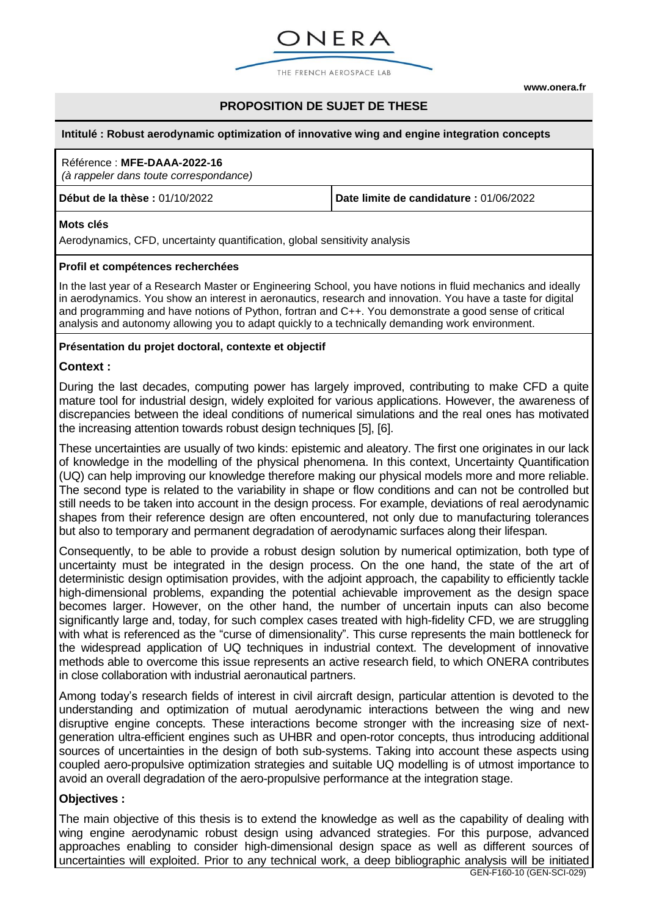

THE FRENCH AEROSPACE LAB

**[www.onera.fr](http://www.onera.fr/)**

## **PROPOSITION DE SUJET DE THESE**

#### **Intitulé : Robust aerodynamic optimization of innovative wing and engine integration concepts**

# Référence : **MFE-DAAA-2022-16**

*(à rappeler dans toute correspondance)*

**Début de la thèse :** 01/10/2022 **Date limite de candidature :** 01/06/2022

#### **Mots clés**

Aerodynamics, CFD, uncertainty quantification, global sensitivity analysis

#### **Profil et compétences recherchées**

In the last year of a Research Master or Engineering School, you have notions in fluid mechanics and ideally in aerodynamics. You show an interest in aeronautics, research and innovation. You have a taste for digital and programming and have notions of Python, fortran and C++. You demonstrate a good sense of critical analysis and autonomy allowing you to adapt quickly to a technically demanding work environment.

#### **Présentation du projet doctoral, contexte et objectif**

### **Context :**

During the last decades, computing power has largely improved, contributing to make CFD a quite mature tool for industrial design, widely exploited for various applications. However, the awareness of discrepancies between the ideal conditions of numerical simulations and the real ones has motivated the increasing attention towards robust design techniques [5], [6].

These uncertainties are usually of two kinds: epistemic and aleatory. The first one originates in our lack of knowledge in the modelling of the physical phenomena. In this context, Uncertainty Quantification (UQ) can help improving our knowledge therefore making our physical models more and more reliable. The second type is related to the variability in shape or flow conditions and can not be controlled but still needs to be taken into account in the design process. For example, deviations of real aerodynamic shapes from their reference design are often encountered, not only due to manufacturing tolerances but also to temporary and permanent degradation of aerodynamic surfaces along their lifespan.

Consequently, to be able to provide a robust design solution by numerical optimization, both type of uncertainty must be integrated in the design process. On the one hand, the state of the art of deterministic design optimisation provides, with the adjoint approach, the capability to efficiently tackle high-dimensional problems, expanding the potential achievable improvement as the design space becomes larger. However, on the other hand, the number of uncertain inputs can also become significantly large and, today, for such complex cases treated with high-fidelity CFD, we are struggling with what is referenced as the "curse of dimensionality". This curse represents the main bottleneck for the widespread application of UQ techniques in industrial context. The development of innovative methods able to overcome this issue represents an active research field, to which ONERA contributes in close collaboration with industrial aeronautical partners.

Among today's research fields of interest in civil aircraft design, particular attention is devoted to the understanding and optimization of mutual aerodynamic interactions between the wing and new disruptive engine concepts. These interactions become stronger with the increasing size of nextgeneration ultra-efficient engines such as UHBR and open-rotor concepts, thus introducing additional sources of uncertainties in the design of both sub-systems. Taking into account these aspects using coupled aero-propulsive optimization strategies and suitable UQ modelling is of utmost importance to avoid an overall degradation of the aero-propulsive performance at the integration stage.

#### **Objectives :**

The main objective of this thesis is to extend the knowledge as well as the capability of dealing with wing engine aerodynamic robust design using advanced strategies. For this purpose, advanced approaches enabling to consider high-dimensional design space as well as different sources of uncertainties will exploited. Prior to any technical work, a deep bibliographic analysis will be initiated